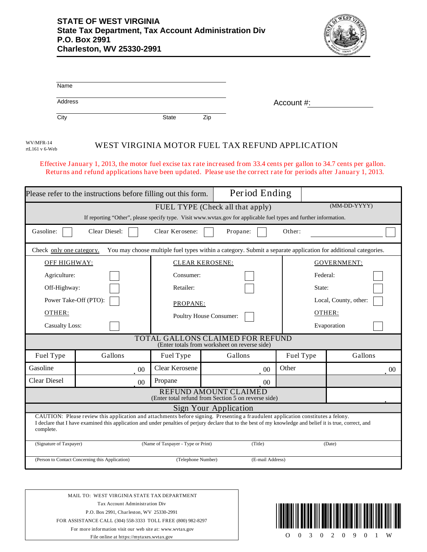

| Name                                                                                                                                                                  |                                                                                                                                                                                                                                                                                                  |                         |                                                 |                       |             |  |  |  |
|-----------------------------------------------------------------------------------------------------------------------------------------------------------------------|--------------------------------------------------------------------------------------------------------------------------------------------------------------------------------------------------------------------------------------------------------------------------------------------------|-------------------------|-------------------------------------------------|-----------------------|-------------|--|--|--|
| Address                                                                                                                                                               |                                                                                                                                                                                                                                                                                                  |                         |                                                 | Account #:            |             |  |  |  |
| $\overline{City}$                                                                                                                                                     |                                                                                                                                                                                                                                                                                                  | <b>State</b>            | Zip                                             |                       |             |  |  |  |
| WV/MFR-14<br>rtL161 v 6-Web                                                                                                                                           |                                                                                                                                                                                                                                                                                                  |                         | WEST VIRGINIA MOTOR FUEL TAX REFUND APPLICATION |                       |             |  |  |  |
|                                                                                                                                                                       | Effective January 1, 2013, the motor fuel excise tax rate increased from 33.4 cents per gallon to 34.7 cents per gallon.<br>Returns and refund applications have been updated. Please use the correct rate for periods after January 1, 2013.                                                    |                         |                                                 |                       |             |  |  |  |
| Please refer to the instructions before filling out this form.                                                                                                        |                                                                                                                                                                                                                                                                                                  |                         | Period Ending                                   |                       |             |  |  |  |
| (MM-DD-YYYY)<br>FUEL TYPE (Check all that apply)<br>If reporting "Other", please specify type. Visit www.wvtax.gov for applicable fuel types and further information. |                                                                                                                                                                                                                                                                                                  |                         |                                                 |                       |             |  |  |  |
| Gasoline:                                                                                                                                                             | Clear Diesel:                                                                                                                                                                                                                                                                                    | Clear Kerosene:         | Propane:                                        | Other:                |             |  |  |  |
| You may choose multiple fuel types within a category. Submit a separate application for additional categories.<br>Check only one category.                            |                                                                                                                                                                                                                                                                                                  |                         |                                                 |                       |             |  |  |  |
| OFF HIGHWAY:                                                                                                                                                          |                                                                                                                                                                                                                                                                                                  | <b>CLEAR KEROSENE:</b>  |                                                 | <b>GOVERNMENT:</b>    |             |  |  |  |
| Agriculture:                                                                                                                                                          |                                                                                                                                                                                                                                                                                                  | Consumer:               |                                                 | Federal:              |             |  |  |  |
| Off-Highway:                                                                                                                                                          |                                                                                                                                                                                                                                                                                                  | Retailer:               |                                                 | State:                |             |  |  |  |
| Power Take-Off (PTO):                                                                                                                                                 |                                                                                                                                                                                                                                                                                                  | PROPANE:                |                                                 | Local, County, other: |             |  |  |  |
| OTHER:                                                                                                                                                                |                                                                                                                                                                                                                                                                                                  | Poultry House Consumer: |                                                 | OTHER:                |             |  |  |  |
| <b>Casualty Loss:</b>                                                                                                                                                 |                                                                                                                                                                                                                                                                                                  |                         |                                                 |                       | Evaporation |  |  |  |
| TOTAL GALLONS CLAIMED FOR REFUND<br>(Enter totals from worksheet on reverse side)                                                                                     |                                                                                                                                                                                                                                                                                                  |                         |                                                 |                       |             |  |  |  |
| Fuel Type                                                                                                                                                             | Gallons                                                                                                                                                                                                                                                                                          | Fuel Type               | Gallons                                         | Fuel Type             | Gallons     |  |  |  |
| Gasoline                                                                                                                                                              | $00\,$                                                                                                                                                                                                                                                                                           | Clear Kerosene          | $00\,$                                          | Other                 | $00\,$      |  |  |  |
| <b>Clear Diesel</b>                                                                                                                                                   | 0 <sub>0</sub>                                                                                                                                                                                                                                                                                   | Propane                 | 00 <sup>1</sup>                                 |                       |             |  |  |  |
| REFUND AMOUNT CLAIMED<br>(Enter total refund from Section 5 on reverse side)                                                                                          |                                                                                                                                                                                                                                                                                                  |                         |                                                 |                       |             |  |  |  |
| Sign Your Application                                                                                                                                                 |                                                                                                                                                                                                                                                                                                  |                         |                                                 |                       |             |  |  |  |
| complete.                                                                                                                                                             | CAUTION: Please review this application and attachments before signing. Presenting a fraudulent application constitutes a felony.<br>I declare that I have examined this application and under penalties of perjury declare that to the best of my knowledge and belief it is true, correct, and |                         |                                                 |                       |             |  |  |  |

| (Signature of Taxpayer)                         | (Name of Taxpayer - Type or Print) | Title)           | (Date) |  |
|-------------------------------------------------|------------------------------------|------------------|--------|--|
| (Person to Contact Concerning this Application) | (Telephone Number)                 | (E-mail Address) |        |  |

MAIL TO: WEST VIRGINIA STATE TAX DEPARTMENT Tax Account Administration Div P.O. Box 2991, Charleston, WV 25330-2991 FOR ASSISTANCE CALL (304) 558-3333 TOLL FREE (800) 982-8297 For more information visit our web site at: www.wvtax.gov

File online at https://mytaxes.wvtax.gov